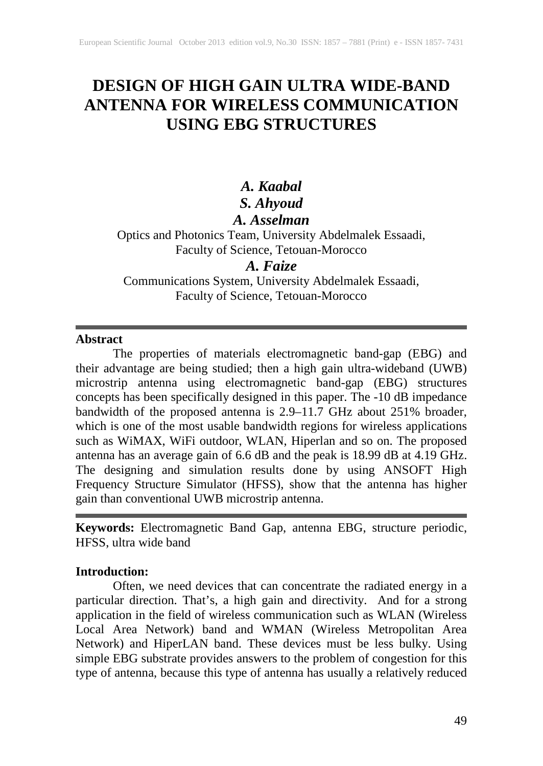# **DESIGN OF HIGH GAIN ULTRA WIDE-BAND ANTENNA FOR WIRELESS COMMUNICATION USING EBG STRUCTURES**

# *A. Kaabal S. Ahyoud*

## *A. Asselman*

Optics and Photonics Team, University Abdelmalek Essaadi, Faculty of Science, Tetouan-Morocco

### *A. Faize*

Communications System, University Abdelmalek Essaadi, Faculty of Science, Tetouan-Morocco

### **Abstract**

The properties of materials electromagnetic band-gap (EBG) and their advantage are being studied; then a high gain ultra-wideband (UWB) microstrip antenna using electromagnetic band-gap (EBG) structures concepts has been specifically designed in this paper. The -10 dB impedance bandwidth of the proposed antenna is 2.9–11.7 GHz about 251% broader, which is one of the most usable bandwidth regions for wireless applications such as WiMAX, WiFi outdoor, WLAN, Hiperlan and so on. The proposed antenna has an average gain of 6.6 dB and the peak is 18.99 dB at 4.19 GHz. The designing and simulation results done by using ANSOFT High Frequency Structure Simulator (HFSS), show that the antenna has higher gain than conventional UWB microstrip antenna.

**Keywords:** Electromagnetic Band Gap, antenna EBG, structure periodic, HFSS, ultra wide band

### **Introduction:**

Often, we need devices that can concentrate the radiated energy in a particular direction. That's, a high gain and directivity. And for a strong application in the field of wireless communication such as WLAN (Wireless Local Area Network) band and WMAN (Wireless Metropolitan Area Network) and HiperLAN band. These devices must be less bulky. Using simple EBG substrate provides answers to the problem of congestion for this type of antenna, because this type of antenna has usually a relatively reduced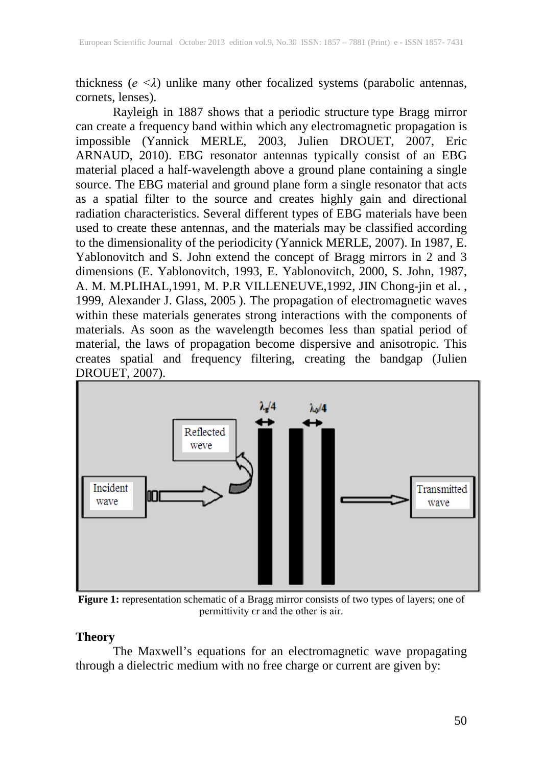thickness ( $e \le \lambda$ ) unlike many other focalized systems (parabolic antennas, cornets, lenses).

Rayleigh in 1887 shows that a periodic structure type Bragg mirror can create a frequency band within which any electromagnetic propagation is impossible (Yannick MERLE, 2003, Julien DROUET, 2007, Eric ARNAUD, 2010). EBG resonator antennas typically consist of an EBG material placed a half-wavelength above a ground plane containing a single source. The EBG material and ground plane form a single resonator that acts as a spatial filter to the source and creates highly gain and directional radiation characteristics. Several different types of EBG materials have been used to create these antennas, and the materials may be classified according to the dimensionality of the periodicity (Yannick MERLE, 2007). In 1987, E. Yablonovitch and S. John extend the concept of Bragg mirrors in 2 and 3 dimensions (E. Yablonovitch, 1993, E. Yablonovitch, 2000, S. John, 1987, A. M. M.PLIHAL,1991, M. P.R VILLENEUVE,1992, JIN Chong-jin et al. , 1999, Alexander J. Glass, 2005 ). The propagation of electromagnetic waves within these materials generates strong interactions with the components of materials. As soon as the wavelength becomes less than spatial period of material, the laws of propagation become dispersive and anisotropic. This creates spatial and frequency filtering, creating the bandgap (Julien DROUET, 2007).



**Figure 1:** representation schematic of a Bragg mirror consists of two types of layers; one of permittivity єr and the other is air.

### **Theory**

The Maxwell's equations for an electromagnetic wave propagating through a dielectric medium with no free charge or current are given by: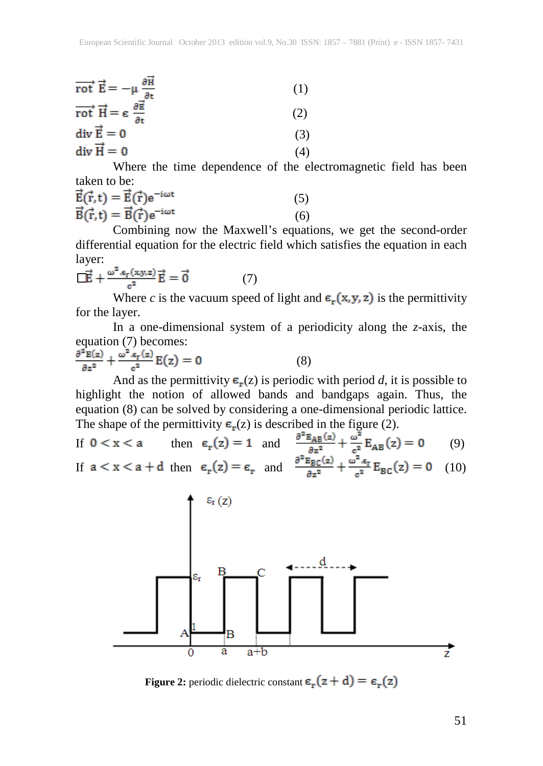| rot $\vec{E} = -\mu \frac{\partial \vec{H}}{\partial t}$                             | (1) |
|--------------------------------------------------------------------------------------|-----|
| $\overrightarrow{\text{rot}} \vec{H} = \epsilon \frac{\partial \vec{E}}{\partial t}$ | (2) |
| $div \vec{E} = 0$                                                                    | (3) |
| $div \vec{H} = 0$                                                                    | (4) |

Where the time dependence of the electromagnetic field has been taken to be:

| $\vec{E}(\vec{r},t) = \vec{E}(\vec{r})e^{-i\omega t}$ | (5) |
|-------------------------------------------------------|-----|
| $\vec{B}(\vec{r},t) = \vec{B}(\vec{r})e^{-i\omega t}$ | (6) |

Combining now the Maxwell's equations, we get the second-order differential equation for the electric field which satisfies the equation in each layer:

$$
\overrightarrow{\mathbf{E}} + \frac{\omega^2 \cdot \varepsilon_r(x, y, z)}{\varepsilon^2} \overrightarrow{\mathbf{E}} = \overrightarrow{\mathbf{0}} \tag{7}
$$

Where *c* is the vacuum speed of light and  $\epsilon_{\bf r}({\bf x},{\bf y},{\bf z})$  is the permittivity for the layer.

In a one-dimensional system of a periodicity along the *z*-axis, the equation (7) becomes:

$$
\frac{\partial^2 E(z)}{\partial z^2} + \frac{\omega^2 . \epsilon_r(z)}{c^2} E(z) = 0 \tag{8}
$$

And as the permittivity  $\mathbf{\epsilon}_r(z)$  is periodic with period *d*, it is possible to highlight the notion of allowed bands and bandgaps again. Thus, the equation (8) can be solved by considering a one-dimensional periodic lattice. The shape of the permittivity  $\epsilon_{\kappa}(z)$  is described in the figure (2).

If 
$$
0 < x < a
$$
 then  $\epsilon_r(z) = 1$  and  $\frac{\partial^2 E_{AB}(z)}{\partial z^2} + \frac{\omega^2}{c_s^2} E_{AB}(z) = 0$  (9)

If 
$$
a < x < a + d
$$
 then  $\epsilon_r(z) = \epsilon_r$  and  $\frac{\partial^2 E_{BC}(z)}{\partial z^2} + \frac{\omega^2 \cdot \epsilon_r}{c^2} E_{BC}(z) = 0$  (10)



**Figure 2:** periodic dielectric constant  $\epsilon_{\mathbf{r}}(z + d) = \epsilon_{\mathbf{r}}(z)$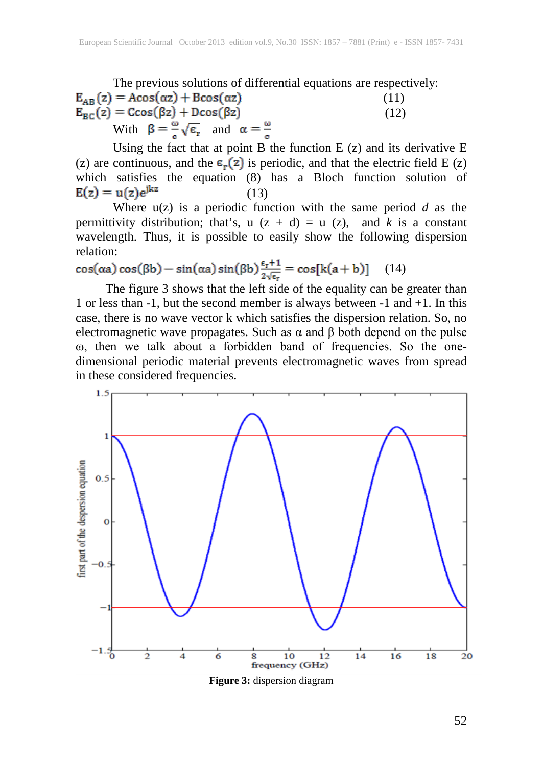The previous solutions of differential equations are respectively:<br> $E_{AR}(z) = A\cos(\alpha z) + B\cos(\alpha z)$  (11) (11)  $E_{BC}(z) = C\cos(\beta z) + D\cos(\beta z)$  (12) With  $\beta = \frac{\omega}{\sigma} \sqrt{\epsilon_r}$  and  $\alpha = \frac{\omega}{\sigma}$ 

Using the fact that at point B the function  $E(z)$  and its derivative  $E$ (z) are continuous, and the  $\varepsilon_{\mathbf{r}}(z)$  is periodic, and that the electric field E (z) which satisfies the equation (8) has a Bloch function solution of  $E(z) = u(z)e^{jkz}$  (13)

Where  $u(z)$  is a periodic function with the same period  $d$  as the permittivity distribution; that's,  $u (z + d) = u (z)$ , and *k* is a constant wavelength. Thus, it is possible to easily show the following dispersion relation:

 $cos(\alpha a) cos(\beta b) - sin(\alpha a) sin(\beta b) \frac{\epsilon_r + 1}{2\sqrt{\epsilon_r}} = cos[k(a + b)]$  (14)

The figure 3 shows that the left side of the equality can be greater than 1 or less than -1, but the second member is always between -1 and +1. In this case, there is no wave vector k which satisfies the dispersion relation. So, no electromagnetic wave propagates. Such as  $\alpha$  and  $\beta$  both depend on the pulse ω, then we talk about a forbidden band of frequencies. So the onedimensional periodic material prevents electromagnetic waves from spread in these considered frequencies.



**Figure 3:** dispersion diagram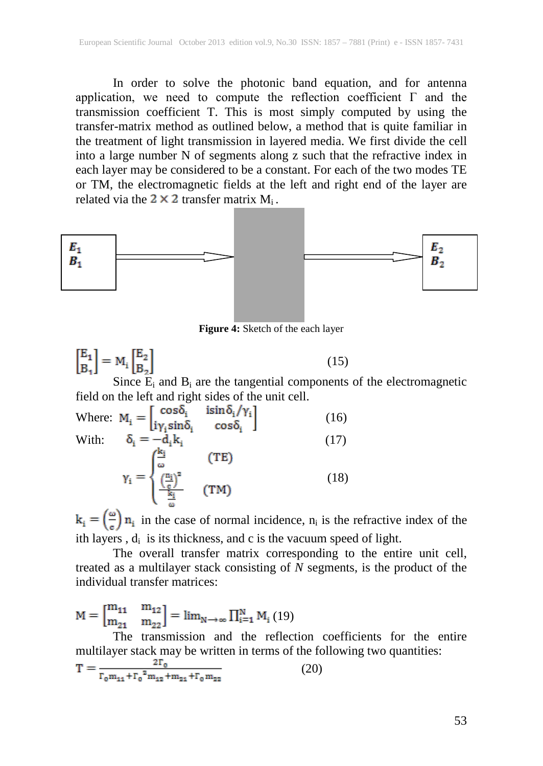In order to solve the photonic band equation, and for antenna application, we need to compute the reflection coefficient  $\Gamma$  and the transmission coefficient T. This is most simply computed by using the transfer-matrix method as outlined below, a method that is quite familiar in the treatment of light transmission in layered media. We first divide the cell into a large number N of segments along z such that the refractive index in each layer may be considered to be a constant. For each of the two modes TE or TM, the electromagnetic fields at the left and right end of the layer are related via the  $2 \times 2$  transfer matrix M<sub>i</sub>.



**Figure 4:** Sketch of the each layer

$$
\begin{bmatrix} \mathbf{E}_1 \\ \mathbf{B}_1 \end{bmatrix} = \mathbf{M}_i \begin{bmatrix} \mathbf{E}_2 \\ \mathbf{B}_2 \end{bmatrix}
$$
 (15)

Since  $E_i$  and  $B_i$  are the tangential components of the electromagnetic field on the left and right sides of the unit cell.

Where: 
$$
M_i = \begin{bmatrix} \cos \delta_i & \sin \delta_i / \gamma_i \\ i \gamma_i \sin \delta_i & \cos \delta_i \end{bmatrix}
$$
 (16)  
With:  $\delta_i = -d_i k_i$  (17)  

$$
\gamma_i = \begin{cases} \frac{k_i}{\omega} & (\text{TE}) \\ \frac{\left(\frac{n_i}{c}\right)^2}{\omega} & (\text{TM}) \end{cases}
$$
 (18)

 $k_i = \left(\frac{\omega}{\epsilon}\right) n_i$  in the case of normal incidence,  $n_i$  is the refractive index of the ith layers,  $d_i$  is its thickness, and c is the vacuum speed of light.

The overall transfer matrix corresponding to the entire unit cell, treated as a multilayer stack consisting of *N* segments, is the product of the individual transfer matrices:

 $\mathbf{M} = \begin{bmatrix} \mathbf{m}_{11} & \mathbf{m}_{12} \\ \mathbf{m}_{21} & \mathbf{m}_{22} \end{bmatrix} = \lim\nolimits_{\mathbf{N} \to \infty} \prod_{i=1}^{\mathbf{N}} \mathbf{M}_i \left( 19 \right)$ 

The transmission and the reflection coefficients for the entire multilayer stack may be written in terms of the following two quantities:

$$
T = \frac{2I_0}{\Gamma_0 m_{11} + \Gamma_0^2 m_{12} + m_{21} + \Gamma_0 m_{22}} \tag{20}
$$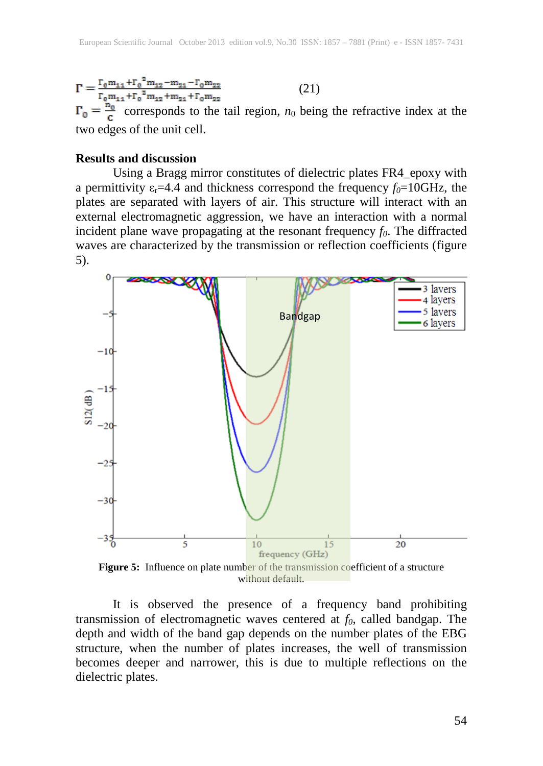(21)  $\alpha$  corresponds to the tail region,  $n_0$  being the refractive index at the two edges of the unit cell.

#### **Results and discussion**

Using a Bragg mirror constitutes of dielectric plates FR4\_epoxy with a permittivity  $\varepsilon_r = 4.4$  and thickness correspond the frequency  $f_0 = 10 \text{GHz}$ , the plates are separated with layers of air. This structure will interact with an external electromagnetic aggression, we have an interaction with a normal incident plane wave propagating at the resonant frequency  $f_0$ . The diffracted waves are characterized by the transmission or reflection coefficients (figure 5).



**Figure 5:** Influence on plate number of the transmission coefficient of a structure without default.

It is observed the presence of a frequency band prohibiting transmission of electromagnetic waves centered at  $f_0$ , called bandgap. The depth and width of the band gap depends on the number plates of the EBG structure, when the number of plates increases, the well of transmission becomes deeper and narrower, this is due to multiple reflections on the dielectric plates.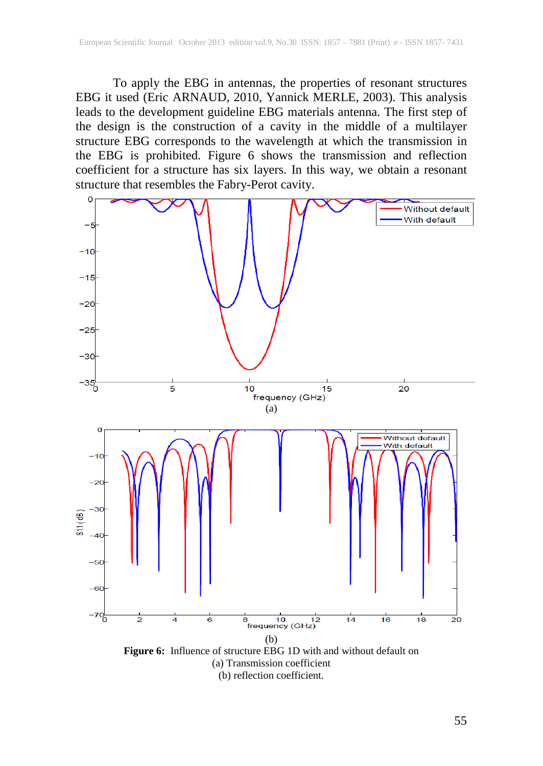To apply the EBG in antennas, the properties of resonant structures EBG it used (Eric ARNAUD, 2010, Yannick MERLE, 2003). This analysis leads to the development guideline EBG materials antenna. The first step of the design is the construction of a cavity in the middle of a multilayer structure EBG corresponds to the wavelength at which the transmission in the EBG is prohibited. Figure 6 shows the transmission and reflection coefficient for a structure has six layers. In this way, we obtain a resonant structure that resembles the Fabry-Perot cavity.



(b) reflection coefficient.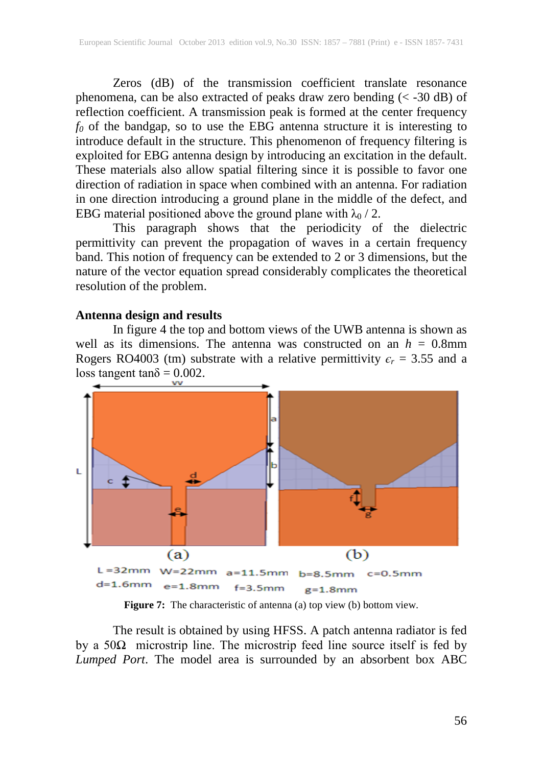Zeros (dB) of the transmission coefficient translate resonance phenomena, can be also extracted of peaks draw zero bending  $(< -30$  dB) of reflection coefficient. A transmission peak is formed at the center frequency *f0* of the bandgap, so to use the EBG antenna structure it is interesting to introduce default in the structure. This phenomenon of frequency filtering is exploited for EBG antenna design by introducing an excitation in the default. These materials also allow spatial filtering since it is possible to favor one direction of radiation in space when combined with an antenna. For radiation in one direction introducing a ground plane in the middle of the defect, and EBG material positioned above the ground plane with  $\lambda_0$  / 2.

This paragraph shows that the periodicity of the dielectric permittivity can prevent the propagation of waves in a certain frequency band. This notion of frequency can be extended to 2 or 3 dimensions, but the nature of the vector equation spread considerably complicates the theoretical resolution of the problem.

#### **Antenna design and results**

In figure 4 the top and bottom views of the UWB antenna is shown as well as its dimensions. The antenna was constructed on an  $h = 0.8$ mm Rogers RO4003 (tm) substrate with a relative permittivity  $\epsilon_r = 3.55$  and a loss tangent tan $\delta = 0.002$ .



**Figure 7:** The characteristic of antenna (a) top view (b) bottom view.

The result is obtained by using HFSS. A patch antenna radiator is fed by a  $50\Omega$  microstrip line. The microstrip feed line source itself is fed by *Lumped Port*. The model area is surrounded by an absorbent box ABC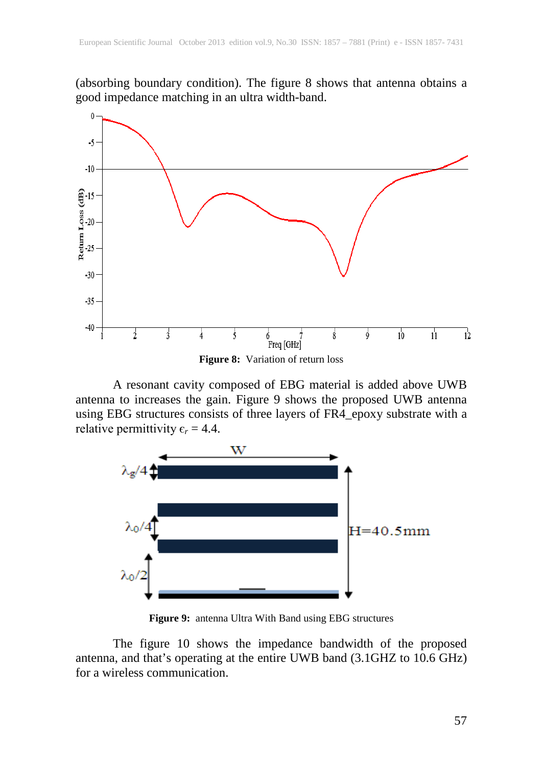(absorbing boundary condition). The figure 8 shows that antenna obtains a good impedance matching in an ultra width-band.



A resonant cavity composed of EBG material is added above UWB antenna to increases the gain. Figure 9 shows the proposed UWB antenna using EBG structures consists of three layers of FR4\_epoxy substrate with a relative permittivity  $\epsilon_r = 4.4$ .



**Figure 9:** antenna Ultra With Band using EBG structures

The figure 10 shows the impedance bandwidth of the proposed antenna, and that's operating at the entire UWB band (3.1GHZ to 10.6 GHz) for a wireless communication.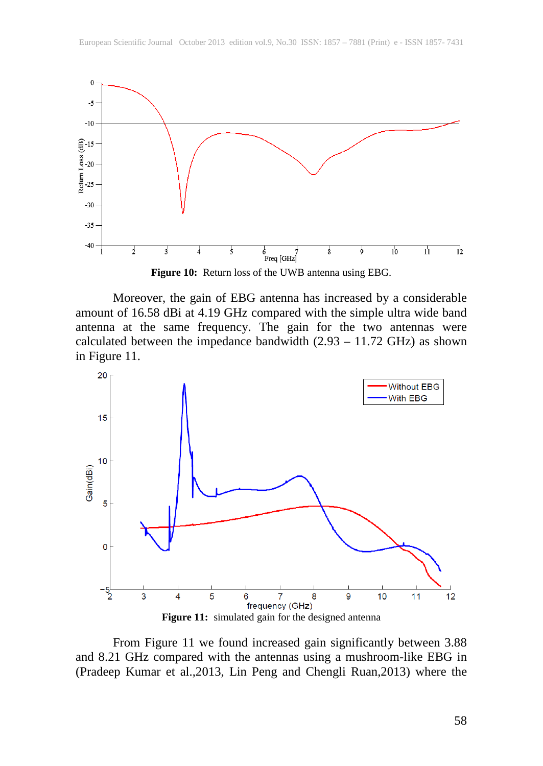

**Figure 10:** Return loss of the UWB antenna using EBG.

Moreover, the gain of EBG antenna has increased by a considerable amount of 16.58 dBi at 4.19 GHz compared with the simple ultra wide band antenna at the same frequency. The gain for the two antennas were calculated between the impedance bandwidth  $(2.93 - 11.72 \text{ GHz})$  as shown in Figure 11.



From Figure 11 we found increased gain significantly between 3.88 and 8.21 GHz compared with the antennas using a mushroom-like EBG in (Pradeep Kumar et al.,2013, Lin Peng and Chengli Ruan,2013) where the